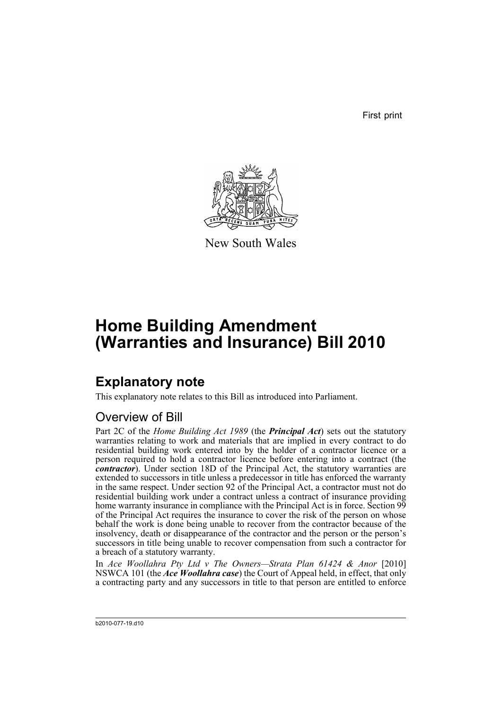First print



New South Wales

# **Home Building Amendment (Warranties and Insurance) Bill 2010**

## **Explanatory note**

This explanatory note relates to this Bill as introduced into Parliament.

## Overview of Bill

Part 2C of the *Home Building Act 1989* (the *Principal Act*) sets out the statutory warranties relating to work and materials that are implied in every contract to do residential building work entered into by the holder of a contractor licence or a person required to hold a contractor licence before entering into a contract (the *contractor*). Under section 18D of the Principal Act, the statutory warranties are extended to successors in title unless a predecessor in title has enforced the warranty in the same respect. Under section 92 of the Principal Act, a contractor must not do residential building work under a contract unless a contract of insurance providing home warranty insurance in compliance with the Principal Act is in force. Section 99 of the Principal Act requires the insurance to cover the risk of the person on whose behalf the work is done being unable to recover from the contractor because of the insolvency, death or disappearance of the contractor and the person or the person's successors in title being unable to recover compensation from such a contractor for a breach of a statutory warranty.

In *Ace Woollahra Pty Ltd v The Owners—Strata Plan 61424 & Anor* [2010] NSWCA 101 (the *Ace Woollahra case*) the Court of Appeal held, in effect, that only a contracting party and any successors in title to that person are entitled to enforce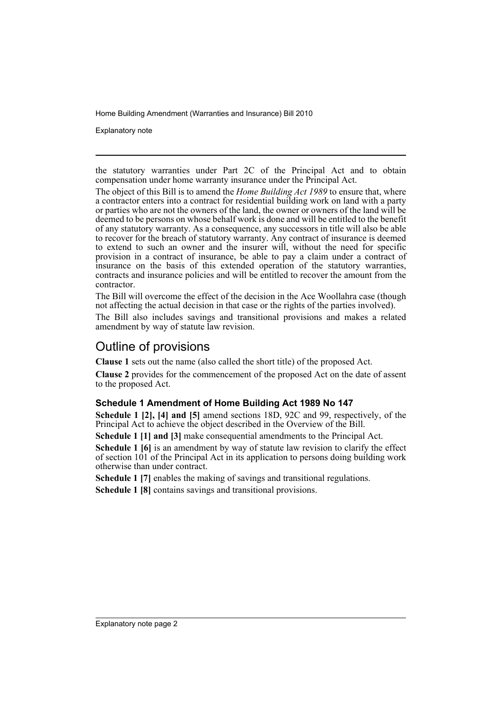Explanatory note

the statutory warranties under Part 2C of the Principal Act and to obtain compensation under home warranty insurance under the Principal Act.

The object of this Bill is to amend the *Home Building Act 1989* to ensure that, where a contractor enters into a contract for residential building work on land with a party or parties who are not the owners of the land, the owner or owners of the land will be deemed to be persons on whose behalf work is done and will be entitled to the benefit of any statutory warranty. As a consequence, any successors in title will also be able to recover for the breach of statutory warranty. Any contract of insurance is deemed to extend to such an owner and the insurer will, without the need for specific provision in a contract of insurance, be able to pay a claim under a contract of insurance on the basis of this extended operation of the statutory warranties, contracts and insurance policies and will be entitled to recover the amount from the contractor.

The Bill will overcome the effect of the decision in the Ace Woollahra case (though not affecting the actual decision in that case or the rights of the parties involved).

The Bill also includes savings and transitional provisions and makes a related amendment by way of statute law revision.

## Outline of provisions

**Clause 1** sets out the name (also called the short title) of the proposed Act.

**Clause 2** provides for the commencement of the proposed Act on the date of assent to the proposed Act.

### **Schedule 1 Amendment of Home Building Act 1989 No 147**

**Schedule 1 [2], [4] and [5]** amend sections 18D, 92C and 99, respectively, of the Principal Act to achieve the object described in the Overview of the Bill.

**Schedule 1 [1] and [3]** make consequential amendments to the Principal Act.

**Schedule 1 [6]** is an amendment by way of statute law revision to clarify the effect of section 101 of the Principal Act in its application to persons doing building work otherwise than under contract.

**Schedule 1 [7]** enables the making of savings and transitional regulations.

**Schedule 1 [8]** contains savings and transitional provisions.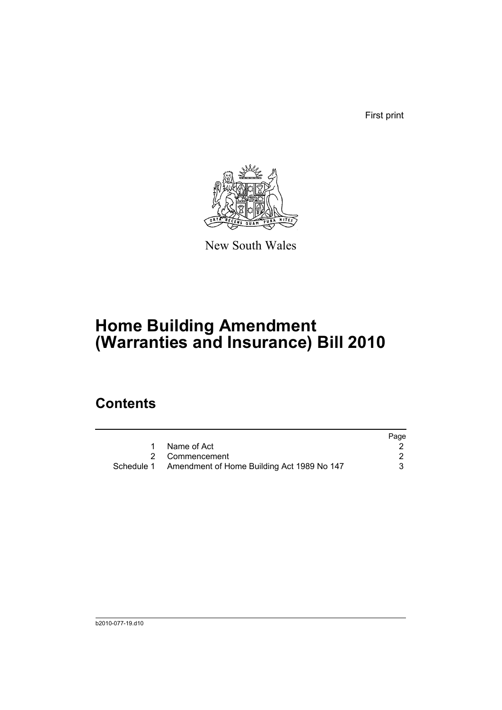First print



New South Wales

# **Home Building Amendment (Warranties and Insurance) Bill 2010**

## **Contents**

|                                                       | Page |
|-------------------------------------------------------|------|
| 1 Name of Act                                         |      |
| 2 Commencement                                        |      |
| Schedule 1 Amendment of Home Building Act 1989 No 147 | 3    |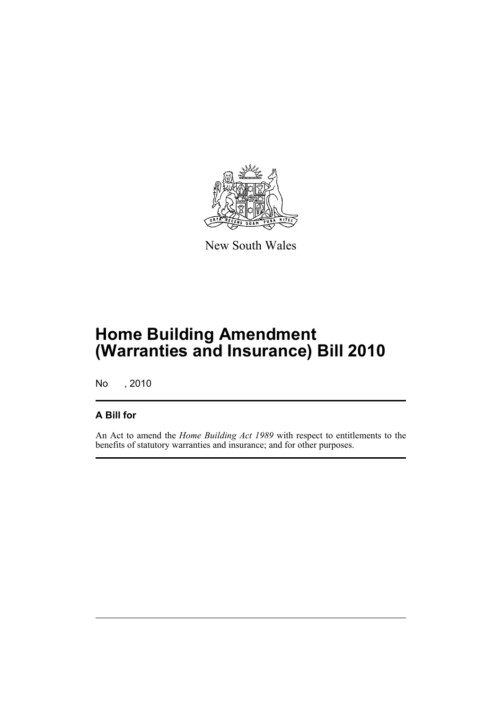

New South Wales

## **Home Building Amendment (Warranties and Insurance) Bill 2010**

No , 2010

### **A Bill for**

An Act to amend the *Home Building Act 1989* with respect to entitlements to the benefits of statutory warranties and insurance; and for other purposes.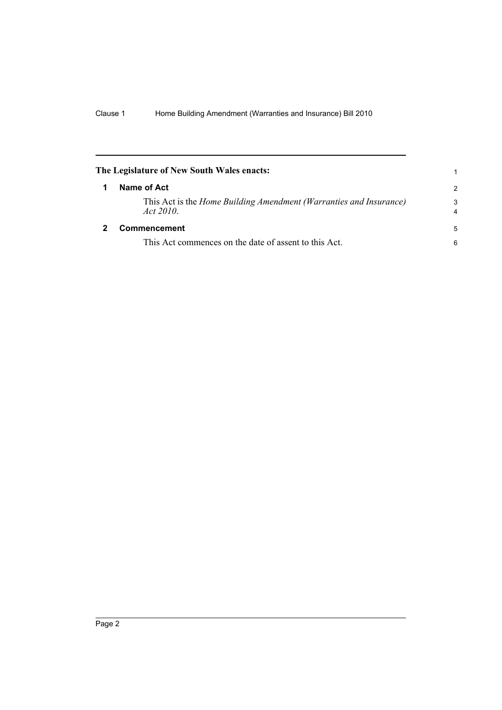<span id="page-5-1"></span><span id="page-5-0"></span>

| The Legislature of New South Wales enacts:                                            | 1             |
|---------------------------------------------------------------------------------------|---------------|
| Name of Act                                                                           | $\mathcal{P}$ |
| This Act is the <i>Home Building Amendment (Warranties and Insurance)</i><br>Act 2010 | 3<br>4        |
| Commencement                                                                          | 5             |
| This Act commences on the date of assent to this Act.                                 | 6             |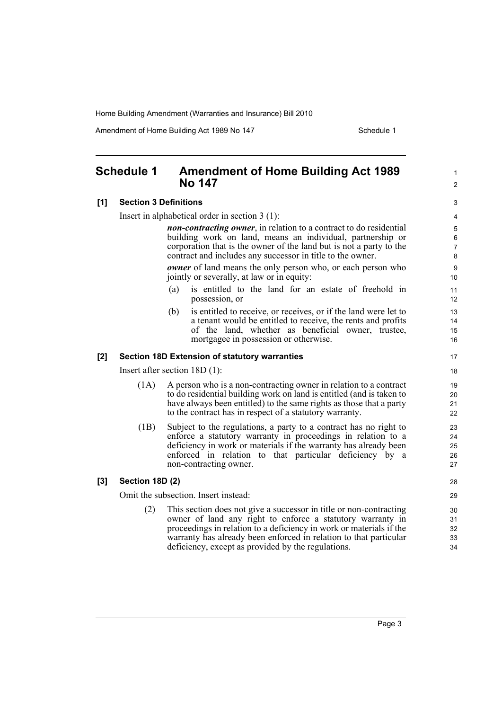Amendment of Home Building Act 1989 No 147 **Schedule 1** Schedule 1

1  $\mathfrak{p}$ 

### <span id="page-6-0"></span>**Schedule 1 Amendment of Home Building Act 1989 No 147**

### **[1] Section 3 Definitions**

Insert in alphabetical order in section 3 (1):

*non-contracting owner*, in relation to a contract to do residential building work on land, means an individual, partnership or corporation that is the owner of the land but is not a party to the contract and includes any successor in title to the owner.

*owner* of land means the only person who, or each person who jointly or severally, at law or in equity:

- (a) is entitled to the land for an estate of freehold in possession, or
- (b) is entitled to receive, or receives, or if the land were let to a tenant would be entitled to receive, the rents and profits of the land, whether as beneficial owner, trustee, mortgagee in possession or otherwise.

### **[2] Section 18D Extension of statutory warranties**

Insert after section 18D (1):

- (1A) A person who is a non-contracting owner in relation to a contract to do residential building work on land is entitled (and is taken to have always been entitled) to the same rights as those that a party to the contract has in respect of a statutory warranty.
- (1B) Subject to the regulations, a party to a contract has no right to enforce a statutory warranty in proceedings in relation to a deficiency in work or materials if the warranty has already been enforced in relation to that particular deficiency by a non-contracting owner.

#### **[3] Section 18D (2)**

Omit the subsection. Insert instead:

(2) This section does not give a successor in title or non-contracting owner of land any right to enforce a statutory warranty in proceedings in relation to a deficiency in work or materials if the warranty has already been enforced in relation to that particular deficiency, except as provided by the regulations.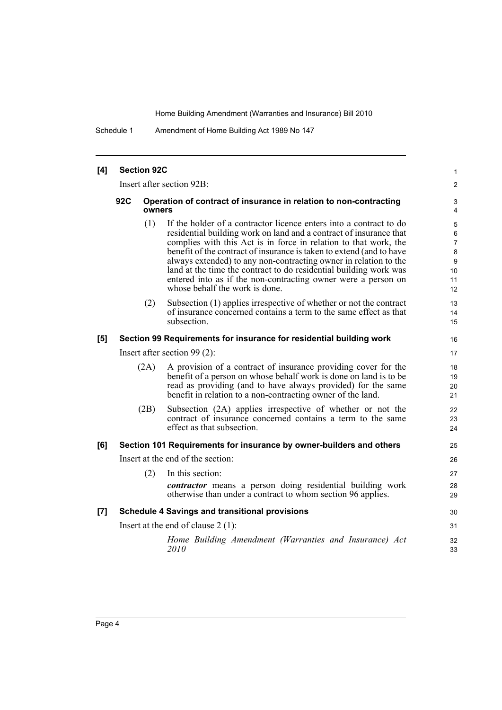Schedule 1 Amendment of Home Building Act 1989 No 147

| [4] | <b>Section 92C</b>        |                                                                                                                                                                                                                                                                                                                                                                                                                                                                                                                                         | 1                                                    |
|-----|---------------------------|-----------------------------------------------------------------------------------------------------------------------------------------------------------------------------------------------------------------------------------------------------------------------------------------------------------------------------------------------------------------------------------------------------------------------------------------------------------------------------------------------------------------------------------------|------------------------------------------------------|
|     | Insert after section 92B: |                                                                                                                                                                                                                                                                                                                                                                                                                                                                                                                                         |                                                      |
|     | 92C                       | Operation of contract of insurance in relation to non-contracting<br>owners                                                                                                                                                                                                                                                                                                                                                                                                                                                             | 3<br>4                                               |
|     |                           | (1)<br>If the holder of a contractor licence enters into a contract to do<br>residential building work on land and a contract of insurance that<br>complies with this Act is in force in relation to that work, the<br>benefit of the contract of insurance is taken to extend (and to have<br>always extended) to any non-contracting owner in relation to the<br>land at the time the contract to do residential building work was<br>entered into as if the non-contracting owner were a person on<br>whose behalf the work is done. | 5<br>6<br>$\overline{7}$<br>8<br>9<br>10<br>11<br>12 |
|     |                           | (2)<br>Subsection (1) applies irrespective of whether or not the contract<br>of insurance concerned contains a term to the same effect as that<br>subsection                                                                                                                                                                                                                                                                                                                                                                            | 13<br>14<br>15                                       |
| [5] |                           | Section 99 Requirements for insurance for residential building work                                                                                                                                                                                                                                                                                                                                                                                                                                                                     | 16                                                   |
|     |                           | Insert after section $99(2)$ :                                                                                                                                                                                                                                                                                                                                                                                                                                                                                                          | 17                                                   |
|     | (2A)                      | A provision of a contract of insurance providing cover for the<br>benefit of a person on whose behalf work is done on land is to be<br>read as providing (and to have always provided) for the same<br>benefit in relation to a non-contracting owner of the land.                                                                                                                                                                                                                                                                      | 18<br>19<br>20<br>21                                 |
|     | (2B)                      | Subsection (2A) applies irrespective of whether or not the<br>contract of insurance concerned contains a term to the same<br>effect as that subsection.                                                                                                                                                                                                                                                                                                                                                                                 | 22<br>23<br>24                                       |
| [6] |                           | Section 101 Requirements for insurance by owner-builders and others                                                                                                                                                                                                                                                                                                                                                                                                                                                                     | 25                                                   |
|     |                           | Insert at the end of the section:                                                                                                                                                                                                                                                                                                                                                                                                                                                                                                       | 26                                                   |
|     | (2)                       | In this section:<br><i>contractor</i> means a person doing residential building work<br>otherwise than under a contract to whom section 96 applies.                                                                                                                                                                                                                                                                                                                                                                                     | 27<br>28<br>29                                       |
| [7] |                           | <b>Schedule 4 Savings and transitional provisions</b>                                                                                                                                                                                                                                                                                                                                                                                                                                                                                   | 30                                                   |
|     |                           | Insert at the end of clause $2(1)$ :                                                                                                                                                                                                                                                                                                                                                                                                                                                                                                    | 31                                                   |
|     |                           | Home Building Amendment (Warranties and Insurance) Act<br>2010                                                                                                                                                                                                                                                                                                                                                                                                                                                                          | 32<br>33                                             |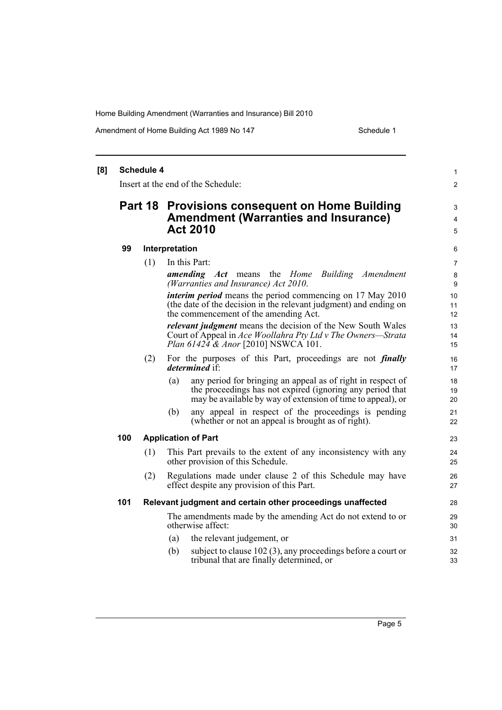Amendment of Home Building Act 1989 No 147 **Schedule 1** Schedule 1

#### **[8] Schedule 4** Insert at the end of the Schedule: **Part 18 Provisions consequent on Home Building Amendment (Warranties and Insurance) Act 2010 99 Interpretation** (1) In this Part: *amending Act* means the *Home Building Amendment (Warranties and Insurance) Act 2010*. *interim period* means the period commencing on 17 May 2010 (the date of the decision in the relevant judgment) and ending on the commencement of the amending Act. *relevant judgment* means the decision of the New South Wales Court of Appeal in *Ace Woollahra Pty Ltd v The Owners—Strata Plan 61424 & Anor* [2010] NSWCA 101. (2) For the purposes of this Part, proceedings are not *finally determined* if: (a) any period for bringing an appeal as of right in respect of the proceedings has not expired (ignoring any period that may be available by way of extension of time to appeal), or (b) any appeal in respect of the proceedings is pending (whether or not an appeal is brought as of right). **100 Application of Part** (1) This Part prevails to the extent of any inconsistency with any other provision of this Schedule. (2) Regulations made under clause 2 of this Schedule may have effect despite any provision of this Part. **101 Relevant judgment and certain other proceedings unaffected** The amendments made by the amending Act do not extend to or otherwise affect: (a) the relevant judgement, or (b) subject to clause 102 (3), any proceedings before a court or tribunal that are finally determined, or 1 2 3 4 5 6 7 8 **9** 10 11 12 13 14 15 16 17 18 19 20 21 22 23 24 25 26 27 28 29 30 31 32 33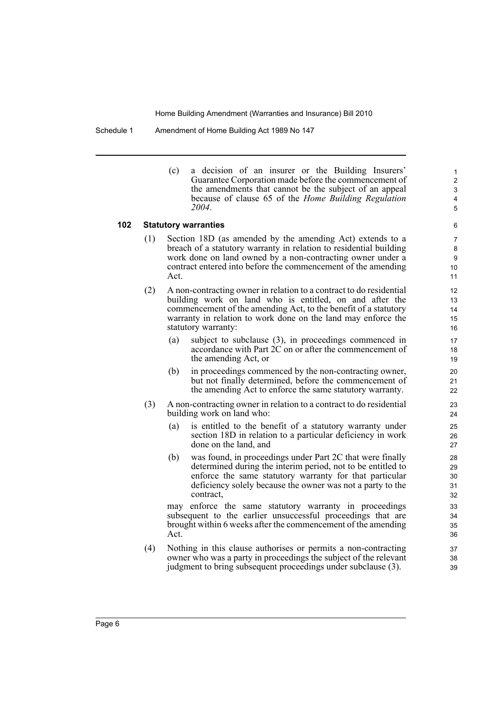Schedule 1 Amendment of Home Building Act 1989 No 147

(c) a decision of an insurer or the Building Insurers' Guarantee Corporation made before the commencement of the amendments that cannot be the subject of an appeal because of clause 65 of the *Home Building Regulation 2004*.

#### **102 Statutory warranties**

- (1) Section 18D (as amended by the amending Act) extends to a breach of a statutory warranty in relation to residential building work done on land owned by a non-contracting owner under a contract entered into before the commencement of the amending Act.
- (2) A non-contracting owner in relation to a contract to do residential building work on land who is entitled, on and after the commencement of the amending Act, to the benefit of a statutory warranty in relation to work done on the land may enforce the statutory warranty:
	- (a) subject to subclause (3), in proceedings commenced in accordance with Part 2C on or after the commencement of the amending Act, or
	- (b) in proceedings commenced by the non-contracting owner, but not finally determined, before the commencement of the amending Act to enforce the same statutory warranty.
- (3) A non-contracting owner in relation to a contract to do residential building work on land who:
	- (a) is entitled to the benefit of a statutory warranty under section 18D in relation to a particular deficiency in work done on the land, and
	- (b) was found, in proceedings under Part 2C that were finally determined during the interim period, not to be entitled to enforce the same statutory warranty for that particular deficiency solely because the owner was not a party to the contract,

may enforce the same statutory warranty in proceedings subsequent to the earlier unsuccessful proceedings that are brought within 6 weeks after the commencement of the amending Act.

(4) Nothing in this clause authorises or permits a non-contracting owner who was a party in proceedings the subject of the relevant judgment to bring subsequent proceedings under subclause (3).